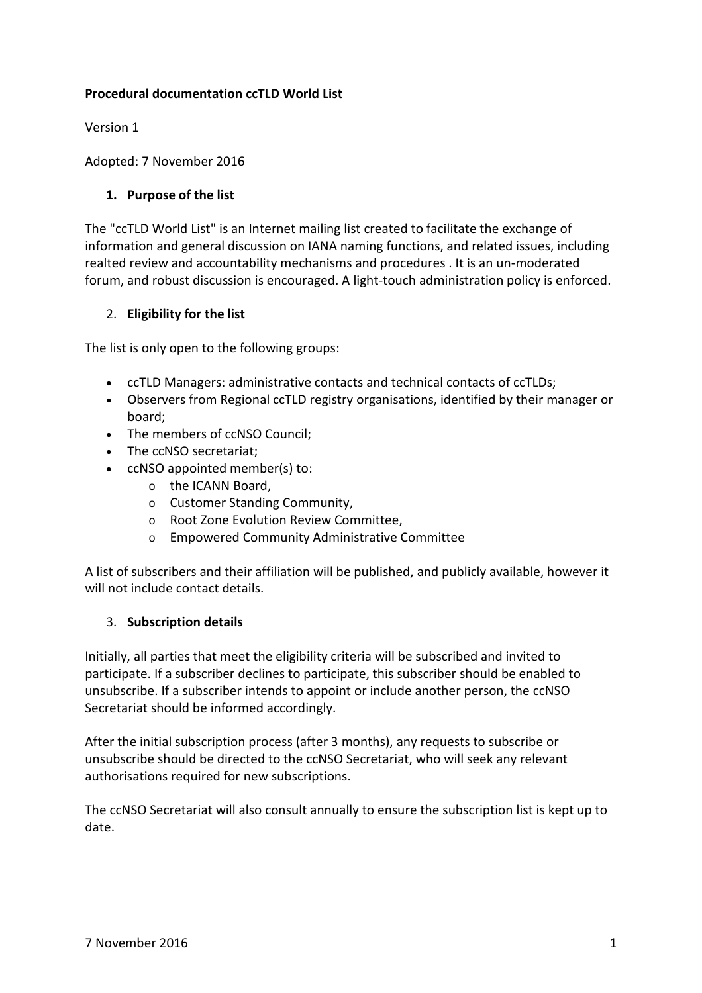# **Procedural documentation ccTLD World List**

Version 1

Adopted: 7 November 2016

## **1. Purpose of the list**

The "ccTLD World List" is an Internet mailing list created to facilitate the exchange of information and general discussion on IANA naming functions, and related issues, including realted review and accountability mechanisms and procedures . It is an un-moderated forum, and robust discussion is encouraged. A light-touch administration policy is enforced.

### 2. **Eligibility for the list**

The list is only open to the following groups:

- ccTLD Managers: administrative contacts and technical contacts of ccTLDs;
- Observers from Regional ccTLD registry organisations, identified by their manager or board;
- The members of ccNSO Council;
- The ccNSO secretariat;
- ccNSO appointed member(s) to:
	- o the ICANN Board,
	- o Customer Standing Community,
	- o Root Zone Evolution Review Committee,
	- o Empowered Community Administrative Committee

A list of subscribers and their affiliation will be published, and publicly available, however it will not include contact details.

#### 3. **Subscription details**

Initially, all parties that meet the eligibility criteria will be subscribed and invited to participate. If a subscriber declines to participate, this subscriber should be enabled to unsubscribe. If a subscriber intends to appoint or include another person, the ccNSO Secretariat should be informed accordingly.

After the initial subscription process (after 3 months), any requests to subscribe or unsubscribe should be directed to the ccNSO Secretariat, who will seek any relevant authorisations required for new subscriptions.

The ccNSO Secretariat will also consult annually to ensure the subscription list is kept up to date.